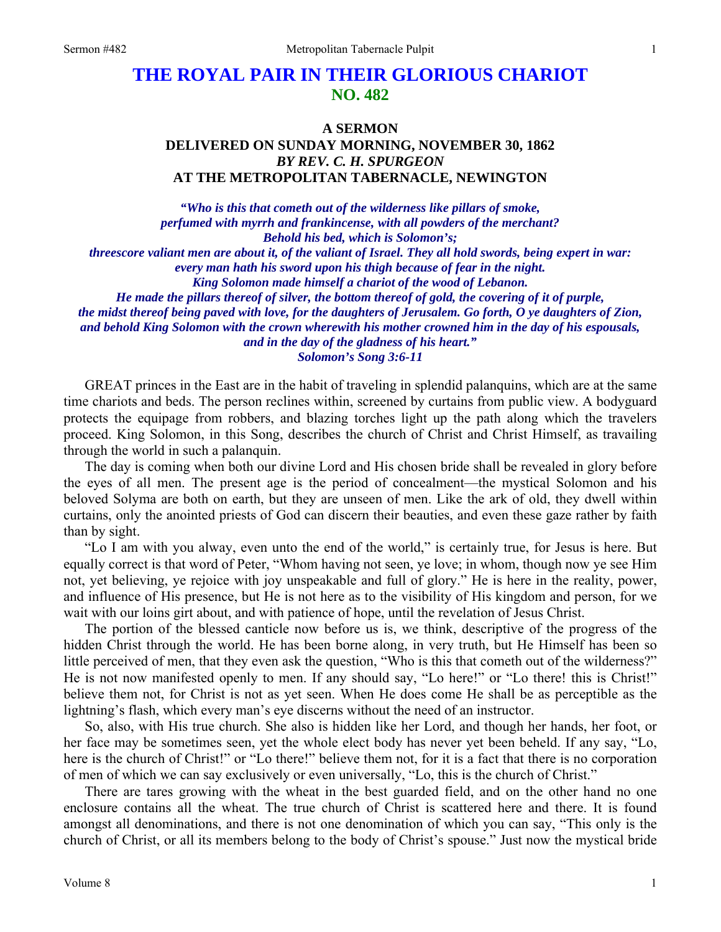## **THE ROYAL PAIR IN THEIR GLORIOUS CHARIOT NO. 482**

## **A SERMON DELIVERED ON SUNDAY MORNING, NOVEMBER 30, 1862**  *BY REV. C. H. SPURGEON*  **AT THE METROPOLITAN TABERNACLE, NEWINGTON**

*"Who is this that cometh out of the wilderness like pillars of smoke, perfumed with myrrh and frankincense, with all powders of the merchant? Behold his bed, which is Solomon's; threescore valiant men are about it, of the valiant of Israel. They all hold swords, being expert in war: every man hath his sword upon his thigh because of fear in the night. King Solomon made himself a chariot of the wood of Lebanon. He made the pillars thereof of silver, the bottom thereof of gold, the covering of it of purple, the midst thereof being paved with love, for the daughters of Jerusalem. Go forth, O ye daughters of Zion, and behold King Solomon with the crown wherewith his mother crowned him in the day of his espousals, and in the day of the gladness of his heart."* 

*Solomon's Song 3:6-11* 

GREAT princes in the East are in the habit of traveling in splendid palanquins, which are at the same time chariots and beds. The person reclines within, screened by curtains from public view. A bodyguard protects the equipage from robbers, and blazing torches light up the path along which the travelers proceed. King Solomon, in this Song, describes the church of Christ and Christ Himself, as travailing through the world in such a palanquin.

The day is coming when both our divine Lord and His chosen bride shall be revealed in glory before the eyes of all men. The present age is the period of concealment—the mystical Solomon and his beloved Solyma are both on earth, but they are unseen of men. Like the ark of old, they dwell within curtains, only the anointed priests of God can discern their beauties, and even these gaze rather by faith than by sight.

"Lo I am with you alway, even unto the end of the world," is certainly true, for Jesus is here. But equally correct is that word of Peter, "Whom having not seen, ye love; in whom, though now ye see Him not, yet believing, ye rejoice with joy unspeakable and full of glory." He is here in the reality, power, and influence of His presence, but He is not here as to the visibility of His kingdom and person, for we wait with our loins girt about, and with patience of hope, until the revelation of Jesus Christ.

The portion of the blessed canticle now before us is, we think, descriptive of the progress of the hidden Christ through the world. He has been borne along, in very truth, but He Himself has been so little perceived of men, that they even ask the question, "Who is this that cometh out of the wilderness?" He is not now manifested openly to men. If any should say, "Lo here!" or "Lo there! this is Christ!" believe them not, for Christ is not as yet seen. When He does come He shall be as perceptible as the lightning's flash, which every man's eye discerns without the need of an instructor.

So, also, with His true church. She also is hidden like her Lord, and though her hands, her foot, or her face may be sometimes seen, yet the whole elect body has never yet been beheld. If any say, "Lo, here is the church of Christ!" or "Lo there!" believe them not, for it is a fact that there is no corporation of men of which we can say exclusively or even universally, "Lo, this is the church of Christ."

There are tares growing with the wheat in the best guarded field, and on the other hand no one enclosure contains all the wheat. The true church of Christ is scattered here and there. It is found amongst all denominations, and there is not one denomination of which you can say, "This only is the church of Christ, or all its members belong to the body of Christ's spouse." Just now the mystical bride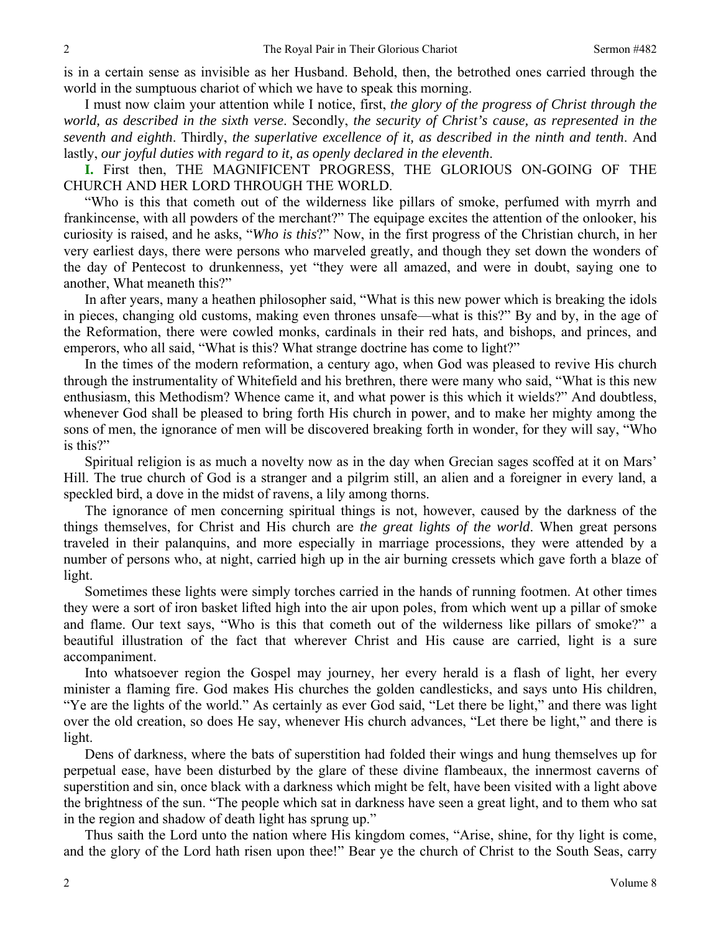is in a certain sense as invisible as her Husband. Behold, then, the betrothed ones carried through the world in the sumptuous chariot of which we have to speak this morning.

I must now claim your attention while I notice, first, *the glory of the progress of Christ through the world, as described in the sixth verse*. Secondly, *the security of Christ's cause, as represented in the seventh and eighth*. Thirdly, *the superlative excellence of it, as described in the ninth and tenth*. And lastly, *our joyful duties with regard to it, as openly declared in the eleventh*.

**I.** First then, THE MAGNIFICENT PROGRESS, THE GLORIOUS ON-GOING OF THE CHURCH AND HER LORD THROUGH THE WORLD.

"Who is this that cometh out of the wilderness like pillars of smoke, perfumed with myrrh and frankincense, with all powders of the merchant?" The equipage excites the attention of the onlooker, his curiosity is raised, and he asks, "*Who is this*?" Now, in the first progress of the Christian church, in her very earliest days, there were persons who marveled greatly, and though they set down the wonders of the day of Pentecost to drunkenness, yet "they were all amazed, and were in doubt, saying one to another, What meaneth this?"

In after years, many a heathen philosopher said, "What is this new power which is breaking the idols in pieces, changing old customs, making even thrones unsafe—what is this?" By and by, in the age of the Reformation, there were cowled monks, cardinals in their red hats, and bishops, and princes, and emperors, who all said, "What is this? What strange doctrine has come to light?"

In the times of the modern reformation, a century ago, when God was pleased to revive His church through the instrumentality of Whitefield and his brethren, there were many who said, "What is this new enthusiasm, this Methodism? Whence came it, and what power is this which it wields?" And doubtless, whenever God shall be pleased to bring forth His church in power, and to make her mighty among the sons of men, the ignorance of men will be discovered breaking forth in wonder, for they will say, "Who is this?"

Spiritual religion is as much a novelty now as in the day when Grecian sages scoffed at it on Mars' Hill. The true church of God is a stranger and a pilgrim still, an alien and a foreigner in every land, a speckled bird, a dove in the midst of ravens, a lily among thorns.

The ignorance of men concerning spiritual things is not, however, caused by the darkness of the things themselves, for Christ and His church are *the great lights of the world*. When great persons traveled in their palanquins, and more especially in marriage processions, they were attended by a number of persons who, at night, carried high up in the air burning cressets which gave forth a blaze of light.

Sometimes these lights were simply torches carried in the hands of running footmen. At other times they were a sort of iron basket lifted high into the air upon poles, from which went up a pillar of smoke and flame. Our text says, "Who is this that cometh out of the wilderness like pillars of smoke?" a beautiful illustration of the fact that wherever Christ and His cause are carried, light is a sure accompaniment.

Into whatsoever region the Gospel may journey, her every herald is a flash of light, her every minister a flaming fire. God makes His churches the golden candlesticks, and says unto His children, "Ye are the lights of the world." As certainly as ever God said, "Let there be light," and there was light over the old creation, so does He say, whenever His church advances, "Let there be light," and there is light.

Dens of darkness, where the bats of superstition had folded their wings and hung themselves up for perpetual ease, have been disturbed by the glare of these divine flambeaux, the innermost caverns of superstition and sin, once black with a darkness which might be felt, have been visited with a light above the brightness of the sun. "The people which sat in darkness have seen a great light, and to them who sat in the region and shadow of death light has sprung up."

Thus saith the Lord unto the nation where His kingdom comes, "Arise, shine, for thy light is come, and the glory of the Lord hath risen upon thee!" Bear ye the church of Christ to the South Seas, carry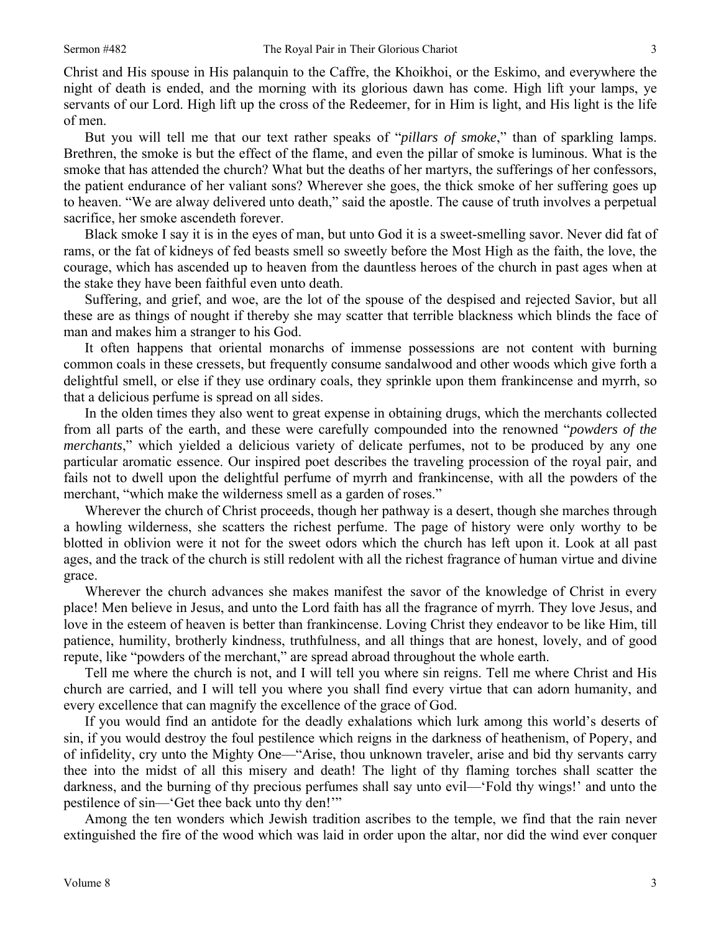Christ and His spouse in His palanquin to the Caffre, the Khoikhoi, or the Eskimo, and everywhere the night of death is ended, and the morning with its glorious dawn has come. High lift your lamps, ye servants of our Lord. High lift up the cross of the Redeemer, for in Him is light, and His light is the life of men.

But you will tell me that our text rather speaks of "*pillars of smoke*," than of sparkling lamps. Brethren, the smoke is but the effect of the flame, and even the pillar of smoke is luminous. What is the smoke that has attended the church? What but the deaths of her martyrs, the sufferings of her confessors, the patient endurance of her valiant sons? Wherever she goes, the thick smoke of her suffering goes up to heaven. "We are alway delivered unto death," said the apostle. The cause of truth involves a perpetual sacrifice, her smoke ascendeth forever.

Black smoke I say it is in the eyes of man, but unto God it is a sweet-smelling savor. Never did fat of rams, or the fat of kidneys of fed beasts smell so sweetly before the Most High as the faith, the love, the courage, which has ascended up to heaven from the dauntless heroes of the church in past ages when at the stake they have been faithful even unto death.

Suffering, and grief, and woe, are the lot of the spouse of the despised and rejected Savior, but all these are as things of nought if thereby she may scatter that terrible blackness which blinds the face of man and makes him a stranger to his God.

It often happens that oriental monarchs of immense possessions are not content with burning common coals in these cressets, but frequently consume sandalwood and other woods which give forth a delightful smell, or else if they use ordinary coals, they sprinkle upon them frankincense and myrrh, so that a delicious perfume is spread on all sides.

In the olden times they also went to great expense in obtaining drugs, which the merchants collected from all parts of the earth, and these were carefully compounded into the renowned "*powders of the merchants*," which yielded a delicious variety of delicate perfumes, not to be produced by any one particular aromatic essence. Our inspired poet describes the traveling procession of the royal pair, and fails not to dwell upon the delightful perfume of myrrh and frankincense, with all the powders of the merchant, "which make the wilderness smell as a garden of roses."

Wherever the church of Christ proceeds, though her pathway is a desert, though she marches through a howling wilderness, she scatters the richest perfume. The page of history were only worthy to be blotted in oblivion were it not for the sweet odors which the church has left upon it. Look at all past ages, and the track of the church is still redolent with all the richest fragrance of human virtue and divine grace.

Wherever the church advances she makes manifest the savor of the knowledge of Christ in every place! Men believe in Jesus, and unto the Lord faith has all the fragrance of myrrh. They love Jesus, and love in the esteem of heaven is better than frankincense. Loving Christ they endeavor to be like Him, till patience, humility, brotherly kindness, truthfulness, and all things that are honest, lovely, and of good repute, like "powders of the merchant," are spread abroad throughout the whole earth.

Tell me where the church is not, and I will tell you where sin reigns. Tell me where Christ and His church are carried, and I will tell you where you shall find every virtue that can adorn humanity, and every excellence that can magnify the excellence of the grace of God.

If you would find an antidote for the deadly exhalations which lurk among this world's deserts of sin, if you would destroy the foul pestilence which reigns in the darkness of heathenism, of Popery, and of infidelity, cry unto the Mighty One—"Arise, thou unknown traveler, arise and bid thy servants carry thee into the midst of all this misery and death! The light of thy flaming torches shall scatter the darkness, and the burning of thy precious perfumes shall say unto evil—'Fold thy wings!' and unto the pestilence of sin—'Get thee back unto thy den!'"

Among the ten wonders which Jewish tradition ascribes to the temple, we find that the rain never extinguished the fire of the wood which was laid in order upon the altar, nor did the wind ever conquer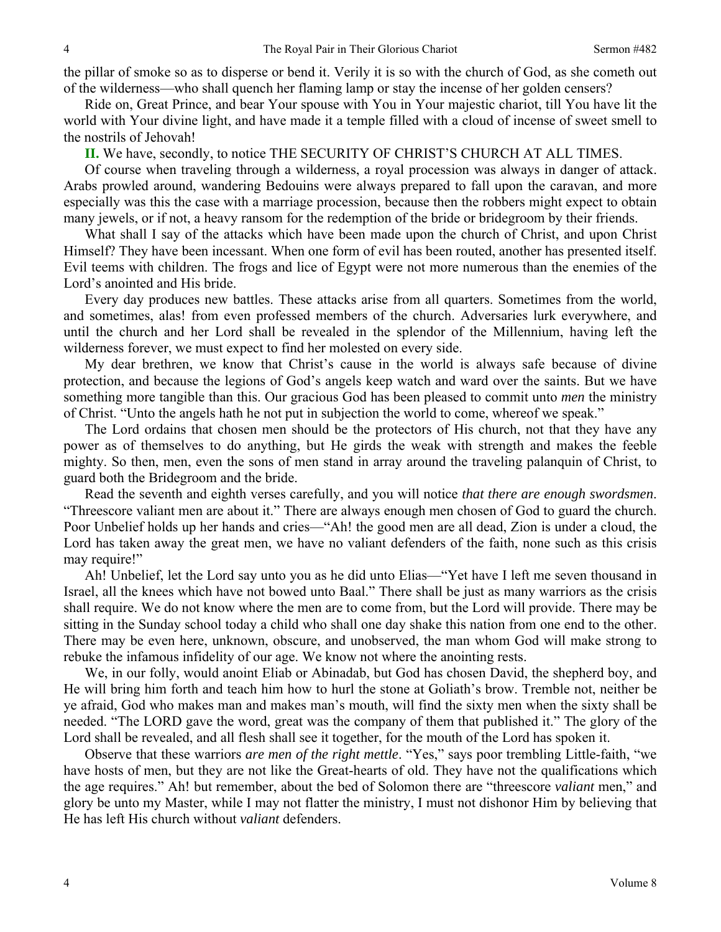the pillar of smoke so as to disperse or bend it. Verily it is so with the church of God, as she cometh out of the wilderness—who shall quench her flaming lamp or stay the incense of her golden censers?

Ride on, Great Prince, and bear Your spouse with You in Your majestic chariot, till You have lit the world with Your divine light, and have made it a temple filled with a cloud of incense of sweet smell to the nostrils of Jehovah!

**II.** We have, secondly, to notice THE SECURITY OF CHRIST'S CHURCH AT ALL TIMES.

Of course when traveling through a wilderness, a royal procession was always in danger of attack. Arabs prowled around, wandering Bedouins were always prepared to fall upon the caravan, and more especially was this the case with a marriage procession, because then the robbers might expect to obtain many jewels, or if not, a heavy ransom for the redemption of the bride or bridegroom by their friends.

What shall I say of the attacks which have been made upon the church of Christ, and upon Christ Himself? They have been incessant. When one form of evil has been routed, another has presented itself. Evil teems with children. The frogs and lice of Egypt were not more numerous than the enemies of the Lord's anointed and His bride.

Every day produces new battles. These attacks arise from all quarters. Sometimes from the world, and sometimes, alas! from even professed members of the church. Adversaries lurk everywhere, and until the church and her Lord shall be revealed in the splendor of the Millennium, having left the wilderness forever, we must expect to find her molested on every side.

My dear brethren, we know that Christ's cause in the world is always safe because of divine protection, and because the legions of God's angels keep watch and ward over the saints. But we have something more tangible than this. Our gracious God has been pleased to commit unto *men* the ministry of Christ. "Unto the angels hath he not put in subjection the world to come, whereof we speak."

The Lord ordains that chosen men should be the protectors of His church, not that they have any power as of themselves to do anything, but He girds the weak with strength and makes the feeble mighty. So then, men, even the sons of men stand in array around the traveling palanquin of Christ, to guard both the Bridegroom and the bride.

Read the seventh and eighth verses carefully, and you will notice *that there are enough swordsmen*. "Threescore valiant men are about it." There are always enough men chosen of God to guard the church. Poor Unbelief holds up her hands and cries—"Ah! the good men are all dead, Zion is under a cloud, the Lord has taken away the great men, we have no valiant defenders of the faith, none such as this crisis may require!"

Ah! Unbelief, let the Lord say unto you as he did unto Elias—"Yet have I left me seven thousand in Israel, all the knees which have not bowed unto Baal." There shall be just as many warriors as the crisis shall require. We do not know where the men are to come from, but the Lord will provide. There may be sitting in the Sunday school today a child who shall one day shake this nation from one end to the other. There may be even here, unknown, obscure, and unobserved, the man whom God will make strong to rebuke the infamous infidelity of our age. We know not where the anointing rests.

We, in our folly, would anoint Eliab or Abinadab, but God has chosen David, the shepherd boy, and He will bring him forth and teach him how to hurl the stone at Goliath's brow. Tremble not, neither be ye afraid, God who makes man and makes man's mouth, will find the sixty men when the sixty shall be needed. "The LORD gave the word, great was the company of them that published it." The glory of the Lord shall be revealed, and all flesh shall see it together, for the mouth of the Lord has spoken it.

Observe that these warriors *are men of the right mettle*. "Yes," says poor trembling Little-faith, "we have hosts of men, but they are not like the Great-hearts of old. They have not the qualifications which the age requires." Ah! but remember, about the bed of Solomon there are "threescore *valiant* men," and glory be unto my Master, while I may not flatter the ministry, I must not dishonor Him by believing that He has left His church without *valiant* defenders.

4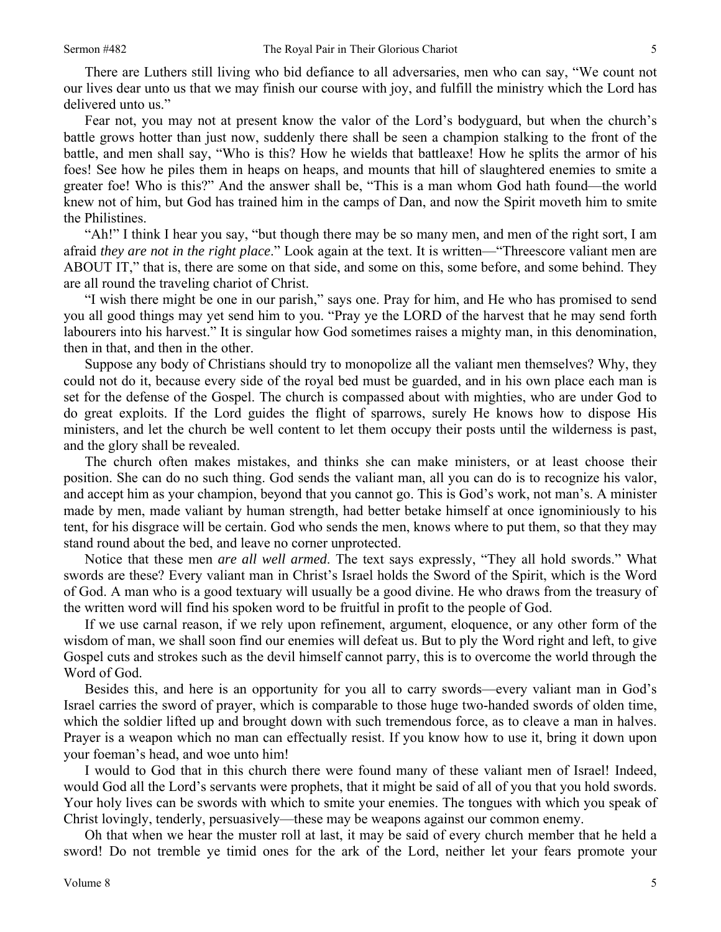There are Luthers still living who bid defiance to all adversaries, men who can say, "We count not our lives dear unto us that we may finish our course with joy, and fulfill the ministry which the Lord has delivered unto us."

Fear not, you may not at present know the valor of the Lord's bodyguard, but when the church's battle grows hotter than just now, suddenly there shall be seen a champion stalking to the front of the battle, and men shall say, "Who is this? How he wields that battleaxe! How he splits the armor of his foes! See how he piles them in heaps on heaps, and mounts that hill of slaughtered enemies to smite a greater foe! Who is this?" And the answer shall be, "This is a man whom God hath found—the world knew not of him, but God has trained him in the camps of Dan, and now the Spirit moveth him to smite the Philistines.

"Ah!" I think I hear you say, "but though there may be so many men, and men of the right sort, I am afraid *they are not in the right place*." Look again at the text. It is written—"Threescore valiant men are ABOUT IT," that is, there are some on that side, and some on this, some before, and some behind. They are all round the traveling chariot of Christ.

"I wish there might be one in our parish," says one. Pray for him, and He who has promised to send you all good things may yet send him to you. "Pray ye the LORD of the harvest that he may send forth labourers into his harvest." It is singular how God sometimes raises a mighty man, in this denomination, then in that, and then in the other.

Suppose any body of Christians should try to monopolize all the valiant men themselves? Why, they could not do it, because every side of the royal bed must be guarded, and in his own place each man is set for the defense of the Gospel. The church is compassed about with mighties, who are under God to do great exploits. If the Lord guides the flight of sparrows, surely He knows how to dispose His ministers, and let the church be well content to let them occupy their posts until the wilderness is past, and the glory shall be revealed.

The church often makes mistakes, and thinks she can make ministers, or at least choose their position. She can do no such thing. God sends the valiant man, all you can do is to recognize his valor, and accept him as your champion, beyond that you cannot go. This is God's work, not man's. A minister made by men, made valiant by human strength, had better betake himself at once ignominiously to his tent, for his disgrace will be certain. God who sends the men, knows where to put them, so that they may stand round about the bed, and leave no corner unprotected.

Notice that these men *are all well armed*. The text says expressly, "They all hold swords." What swords are these? Every valiant man in Christ's Israel holds the Sword of the Spirit, which is the Word of God. A man who is a good textuary will usually be a good divine. He who draws from the treasury of the written word will find his spoken word to be fruitful in profit to the people of God.

If we use carnal reason, if we rely upon refinement, argument, eloquence, or any other form of the wisdom of man, we shall soon find our enemies will defeat us. But to ply the Word right and left, to give Gospel cuts and strokes such as the devil himself cannot parry, this is to overcome the world through the Word of God.

Besides this, and here is an opportunity for you all to carry swords—every valiant man in God's Israel carries the sword of prayer, which is comparable to those huge two-handed swords of olden time, which the soldier lifted up and brought down with such tremendous force, as to cleave a man in halves. Prayer is a weapon which no man can effectually resist. If you know how to use it, bring it down upon your foeman's head, and woe unto him!

I would to God that in this church there were found many of these valiant men of Israel! Indeed, would God all the Lord's servants were prophets, that it might be said of all of you that you hold swords. Your holy lives can be swords with which to smite your enemies. The tongues with which you speak of Christ lovingly, tenderly, persuasively—these may be weapons against our common enemy.

Oh that when we hear the muster roll at last, it may be said of every church member that he held a sword! Do not tremble ye timid ones for the ark of the Lord, neither let your fears promote your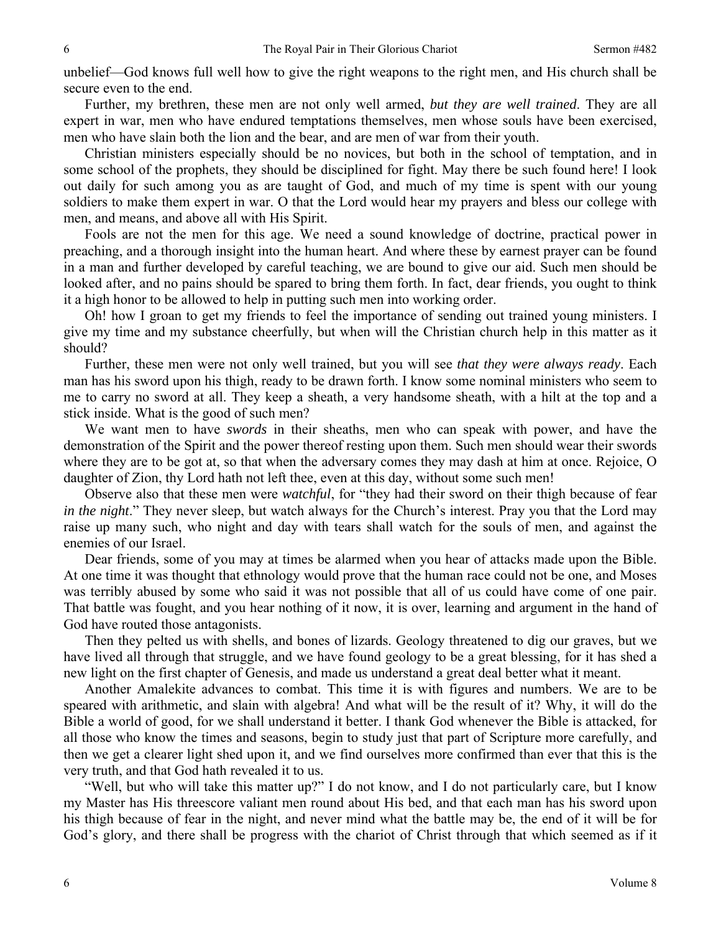unbelief—God knows full well how to give the right weapons to the right men, and His church shall be secure even to the end.

Further, my brethren, these men are not only well armed, *but they are well trained*. They are all expert in war, men who have endured temptations themselves, men whose souls have been exercised, men who have slain both the lion and the bear, and are men of war from their youth.

Christian ministers especially should be no novices, but both in the school of temptation, and in some school of the prophets, they should be disciplined for fight. May there be such found here! I look out daily for such among you as are taught of God, and much of my time is spent with our young soldiers to make them expert in war. O that the Lord would hear my prayers and bless our college with men, and means, and above all with His Spirit.

Fools are not the men for this age. We need a sound knowledge of doctrine, practical power in preaching, and a thorough insight into the human heart. And where these by earnest prayer can be found in a man and further developed by careful teaching, we are bound to give our aid. Such men should be looked after, and no pains should be spared to bring them forth. In fact, dear friends, you ought to think it a high honor to be allowed to help in putting such men into working order.

Oh! how I groan to get my friends to feel the importance of sending out trained young ministers. I give my time and my substance cheerfully, but when will the Christian church help in this matter as it should?

Further, these men were not only well trained, but you will see *that they were always ready*. Each man has his sword upon his thigh, ready to be drawn forth. I know some nominal ministers who seem to me to carry no sword at all. They keep a sheath, a very handsome sheath, with a hilt at the top and a stick inside. What is the good of such men?

We want men to have *swords* in their sheaths, men who can speak with power, and have the demonstration of the Spirit and the power thereof resting upon them. Such men should wear their swords where they are to be got at, so that when the adversary comes they may dash at him at once. Rejoice, O daughter of Zion, thy Lord hath not left thee, even at this day, without some such men!

Observe also that these men were *watchful*, for "they had their sword on their thigh because of fear *in the night*." They never sleep, but watch always for the Church's interest. Pray you that the Lord may raise up many such, who night and day with tears shall watch for the souls of men, and against the enemies of our Israel.

Dear friends, some of you may at times be alarmed when you hear of attacks made upon the Bible. At one time it was thought that ethnology would prove that the human race could not be one, and Moses was terribly abused by some who said it was not possible that all of us could have come of one pair. That battle was fought, and you hear nothing of it now, it is over, learning and argument in the hand of God have routed those antagonists.

Then they pelted us with shells, and bones of lizards. Geology threatened to dig our graves, but we have lived all through that struggle, and we have found geology to be a great blessing, for it has shed a new light on the first chapter of Genesis, and made us understand a great deal better what it meant.

Another Amalekite advances to combat. This time it is with figures and numbers. We are to be speared with arithmetic, and slain with algebra! And what will be the result of it? Why, it will do the Bible a world of good, for we shall understand it better. I thank God whenever the Bible is attacked, for all those who know the times and seasons, begin to study just that part of Scripture more carefully, and then we get a clearer light shed upon it, and we find ourselves more confirmed than ever that this is the very truth, and that God hath revealed it to us.

"Well, but who will take this matter up?" I do not know, and I do not particularly care, but I know my Master has His threescore valiant men round about His bed, and that each man has his sword upon his thigh because of fear in the night, and never mind what the battle may be, the end of it will be for God's glory, and there shall be progress with the chariot of Christ through that which seemed as if it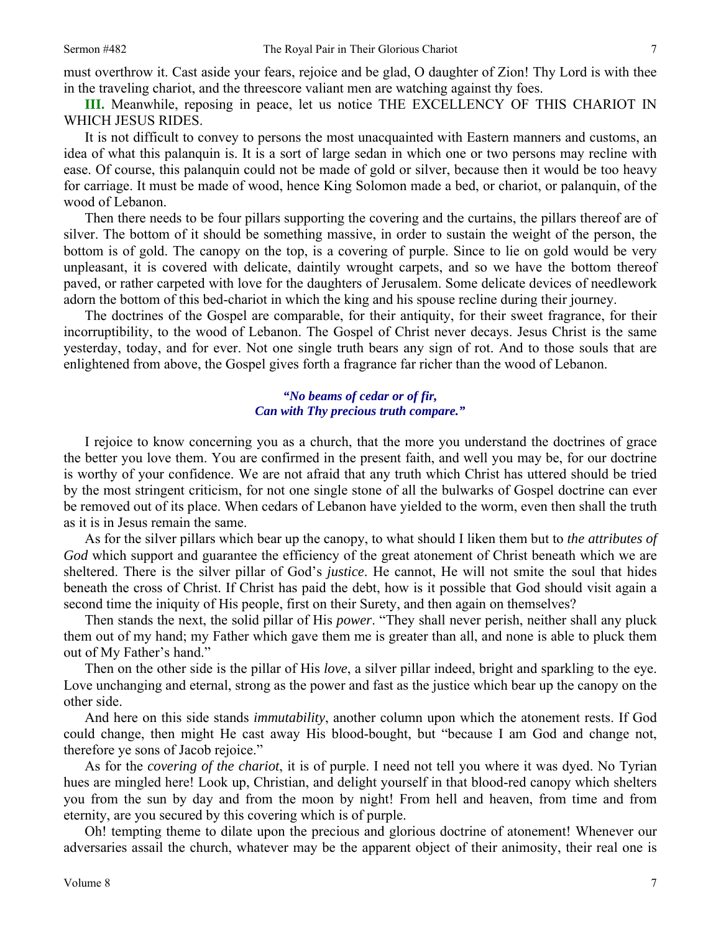must overthrow it. Cast aside your fears, rejoice and be glad, O daughter of Zion! Thy Lord is with thee in the traveling chariot, and the threescore valiant men are watching against thy foes.

**III.** Meanwhile, reposing in peace, let us notice THE EXCELLENCY OF THIS CHARIOT IN WHICH JESUS RIDES.

It is not difficult to convey to persons the most unacquainted with Eastern manners and customs, an idea of what this palanquin is. It is a sort of large sedan in which one or two persons may recline with ease. Of course, this palanquin could not be made of gold or silver, because then it would be too heavy for carriage. It must be made of wood, hence King Solomon made a bed, or chariot, or palanquin, of the wood of Lebanon.

Then there needs to be four pillars supporting the covering and the curtains, the pillars thereof are of silver. The bottom of it should be something massive, in order to sustain the weight of the person, the bottom is of gold. The canopy on the top, is a covering of purple. Since to lie on gold would be very unpleasant, it is covered with delicate, daintily wrought carpets, and so we have the bottom thereof paved, or rather carpeted with love for the daughters of Jerusalem. Some delicate devices of needlework adorn the bottom of this bed-chariot in which the king and his spouse recline during their journey.

The doctrines of the Gospel are comparable, for their antiquity, for their sweet fragrance, for their incorruptibility, to the wood of Lebanon. The Gospel of Christ never decays. Jesus Christ is the same yesterday, today, and for ever. Not one single truth bears any sign of rot. And to those souls that are enlightened from above, the Gospel gives forth a fragrance far richer than the wood of Lebanon.

## *"No beams of cedar or of fir, Can with Thy precious truth compare."*

I rejoice to know concerning you as a church, that the more you understand the doctrines of grace the better you love them. You are confirmed in the present faith, and well you may be, for our doctrine is worthy of your confidence. We are not afraid that any truth which Christ has uttered should be tried by the most stringent criticism, for not one single stone of all the bulwarks of Gospel doctrine can ever be removed out of its place. When cedars of Lebanon have yielded to the worm, even then shall the truth as it is in Jesus remain the same.

As for the silver pillars which bear up the canopy, to what should I liken them but to *the attributes of God* which support and guarantee the efficiency of the great atonement of Christ beneath which we are sheltered. There is the silver pillar of God's *justice*. He cannot, He will not smite the soul that hides beneath the cross of Christ. If Christ has paid the debt, how is it possible that God should visit again a second time the iniquity of His people, first on their Surety, and then again on themselves?

Then stands the next, the solid pillar of His *power*. "They shall never perish, neither shall any pluck them out of my hand; my Father which gave them me is greater than all, and none is able to pluck them out of My Father's hand."

Then on the other side is the pillar of His *love*, a silver pillar indeed, bright and sparkling to the eye. Love unchanging and eternal, strong as the power and fast as the justice which bear up the canopy on the other side.

And here on this side stands *immutability*, another column upon which the atonement rests. If God could change, then might He cast away His blood-bought, but "because I am God and change not, therefore ye sons of Jacob rejoice."

As for the *covering of the chariot*, it is of purple. I need not tell you where it was dyed. No Tyrian hues are mingled here! Look up, Christian, and delight yourself in that blood-red canopy which shelters you from the sun by day and from the moon by night! From hell and heaven, from time and from eternity, are you secured by this covering which is of purple.

Oh! tempting theme to dilate upon the precious and glorious doctrine of atonement! Whenever our adversaries assail the church, whatever may be the apparent object of their animosity, their real one is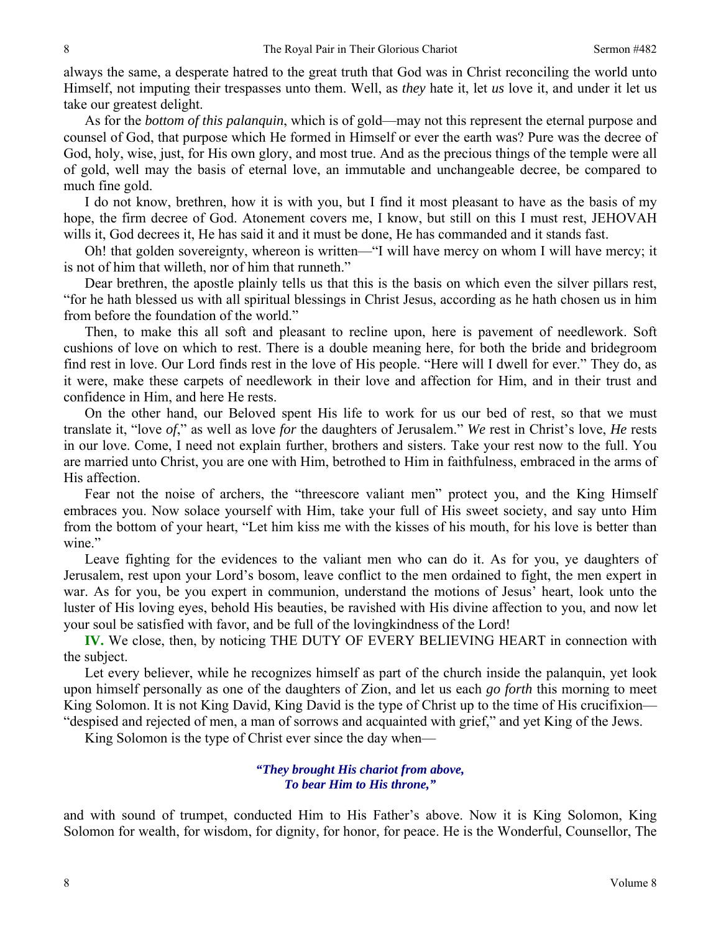always the same, a desperate hatred to the great truth that God was in Christ reconciling the world unto Himself, not imputing their trespasses unto them. Well, as *they* hate it, let *us* love it, and under it let us take our greatest delight.

As for the *bottom of this palanquin*, which is of gold—may not this represent the eternal purpose and counsel of God, that purpose which He formed in Himself or ever the earth was? Pure was the decree of God, holy, wise, just, for His own glory, and most true. And as the precious things of the temple were all of gold, well may the basis of eternal love, an immutable and unchangeable decree, be compared to much fine gold.

I do not know, brethren, how it is with you, but I find it most pleasant to have as the basis of my hope, the firm decree of God. Atonement covers me, I know, but still on this I must rest, JEHOVAH wills it, God decrees it, He has said it and it must be done, He has commanded and it stands fast.

Oh! that golden sovereignty, whereon is written—"I will have mercy on whom I will have mercy; it is not of him that willeth, nor of him that runneth."

Dear brethren, the apostle plainly tells us that this is the basis on which even the silver pillars rest, "for he hath blessed us with all spiritual blessings in Christ Jesus, according as he hath chosen us in him from before the foundation of the world."

Then, to make this all soft and pleasant to recline upon, here is pavement of needlework. Soft cushions of love on which to rest. There is a double meaning here, for both the bride and bridegroom find rest in love. Our Lord finds rest in the love of His people. "Here will I dwell for ever." They do, as it were, make these carpets of needlework in their love and affection for Him, and in their trust and confidence in Him, and here He rests.

On the other hand, our Beloved spent His life to work for us our bed of rest, so that we must translate it, "love *of*," as well as love *for* the daughters of Jerusalem." *We* rest in Christ's love, *He* rests in our love. Come, I need not explain further, brothers and sisters. Take your rest now to the full. You are married unto Christ, you are one with Him, betrothed to Him in faithfulness, embraced in the arms of His affection.

Fear not the noise of archers, the "threescore valiant men" protect you, and the King Himself embraces you. Now solace yourself with Him, take your full of His sweet society, and say unto Him from the bottom of your heart, "Let him kiss me with the kisses of his mouth, for his love is better than wine."

Leave fighting for the evidences to the valiant men who can do it. As for you, ye daughters of Jerusalem, rest upon your Lord's bosom, leave conflict to the men ordained to fight, the men expert in war. As for you, be you expert in communion, understand the motions of Jesus' heart, look unto the luster of His loving eyes, behold His beauties, be ravished with His divine affection to you, and now let your soul be satisfied with favor, and be full of the lovingkindness of the Lord!

**IV.** We close, then, by noticing THE DUTY OF EVERY BELIEVING HEART in connection with the subject.

Let every believer, while he recognizes himself as part of the church inside the palanquin, yet look upon himself personally as one of the daughters of Zion, and let us each *go forth* this morning to meet King Solomon. It is not King David, King David is the type of Christ up to the time of His crucifixion— "despised and rejected of men, a man of sorrows and acquainted with grief," and yet King of the Jews.

King Solomon is the type of Christ ever since the day when—

*"They brought His chariot from above, To bear Him to His throne,"* 

and with sound of trumpet, conducted Him to His Father's above. Now it is King Solomon, King Solomon for wealth, for wisdom, for dignity, for honor, for peace. He is the Wonderful, Counsellor, The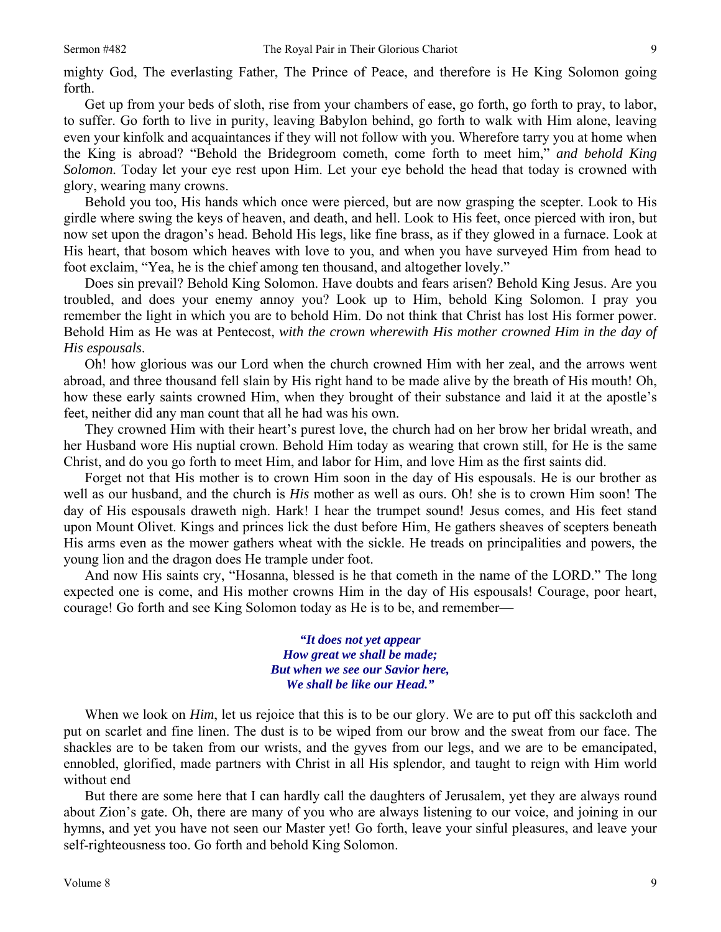mighty God, The everlasting Father, The Prince of Peace, and therefore is He King Solomon going forth.

Get up from your beds of sloth, rise from your chambers of ease, go forth, go forth to pray, to labor, to suffer. Go forth to live in purity, leaving Babylon behind, go forth to walk with Him alone, leaving even your kinfolk and acquaintances if they will not follow with you. Wherefore tarry you at home when the King is abroad? "Behold the Bridegroom cometh, come forth to meet him," *and behold King Solomon.* Today let your eye rest upon Him. Let your eye behold the head that today is crowned with glory, wearing many crowns.

Behold you too, His hands which once were pierced, but are now grasping the scepter. Look to His girdle where swing the keys of heaven, and death, and hell. Look to His feet, once pierced with iron, but now set upon the dragon's head. Behold His legs, like fine brass, as if they glowed in a furnace. Look at His heart, that bosom which heaves with love to you, and when you have surveyed Him from head to foot exclaim, "Yea, he is the chief among ten thousand, and altogether lovely."

Does sin prevail? Behold King Solomon. Have doubts and fears arisen? Behold King Jesus. Are you troubled, and does your enemy annoy you? Look up to Him, behold King Solomon. I pray you remember the light in which you are to behold Him. Do not think that Christ has lost His former power. Behold Him as He was at Pentecost, *with the crown wherewith His mother crowned Him in the day of His espousals*.

Oh! how glorious was our Lord when the church crowned Him with her zeal, and the arrows went abroad, and three thousand fell slain by His right hand to be made alive by the breath of His mouth! Oh, how these early saints crowned Him, when they brought of their substance and laid it at the apostle's feet, neither did any man count that all he had was his own.

They crowned Him with their heart's purest love, the church had on her brow her bridal wreath, and her Husband wore His nuptial crown. Behold Him today as wearing that crown still, for He is the same Christ, and do you go forth to meet Him, and labor for Him, and love Him as the first saints did.

Forget not that His mother is to crown Him soon in the day of His espousals. He is our brother as well as our husband, and the church is *His* mother as well as ours. Oh! she is to crown Him soon! The day of His espousals draweth nigh. Hark! I hear the trumpet sound! Jesus comes, and His feet stand upon Mount Olivet. Kings and princes lick the dust before Him, He gathers sheaves of scepters beneath His arms even as the mower gathers wheat with the sickle. He treads on principalities and powers, the young lion and the dragon does He trample under foot.

And now His saints cry, "Hosanna, blessed is he that cometh in the name of the LORD." The long expected one is come, and His mother crowns Him in the day of His espousals! Courage, poor heart, courage! Go forth and see King Solomon today as He is to be, and remember—

> *"It does not yet appear How great we shall be made; But when we see our Savior here, We shall be like our Head."*

When we look on *Him*, let us rejoice that this is to be our glory. We are to put off this sackcloth and put on scarlet and fine linen. The dust is to be wiped from our brow and the sweat from our face. The shackles are to be taken from our wrists, and the gyves from our legs, and we are to be emancipated, ennobled, glorified, made partners with Christ in all His splendor, and taught to reign with Him world without end

But there are some here that I can hardly call the daughters of Jerusalem, yet they are always round about Zion's gate. Oh, there are many of you who are always listening to our voice, and joining in our hymns, and yet you have not seen our Master yet! Go forth, leave your sinful pleasures, and leave your self-righteousness too. Go forth and behold King Solomon.